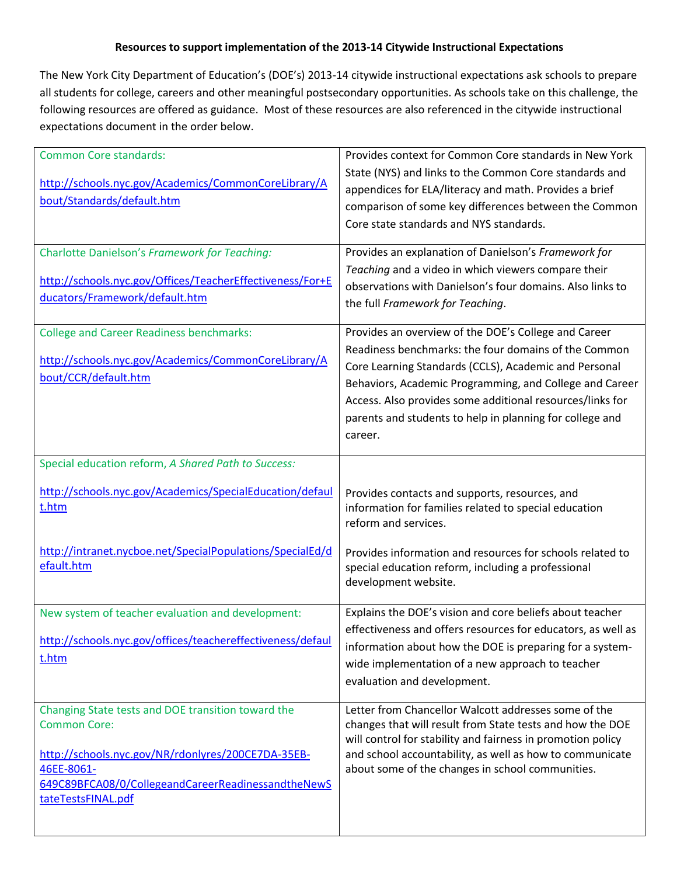## **Resources to support implementation of the 2013-14 Citywide Instructional Expectations**

The New York City Department of Education's (DOE's) 2013-14 citywide instructional expectations ask schools to prepare all students for college, careers and other meaningful postsecondary opportunities. As schools take on this challenge, the following resources are offered as guidance. Most of these resources are also referenced in the citywide instructional expectations document in the order below.

| <b>Common Core standards:</b><br>http://schools.nyc.gov/Academics/CommonCoreLibrary/A<br>bout/Standards/default.htm<br>Charlotte Danielson's Framework for Teaching:                                                      | Provides context for Common Core standards in New York<br>State (NYS) and links to the Common Core standards and<br>appendices for ELA/literacy and math. Provides a brief<br>comparison of some key differences between the Common<br>Core state standards and NYS standards.<br>Provides an explanation of Danielson's Framework for                               |
|---------------------------------------------------------------------------------------------------------------------------------------------------------------------------------------------------------------------------|----------------------------------------------------------------------------------------------------------------------------------------------------------------------------------------------------------------------------------------------------------------------------------------------------------------------------------------------------------------------|
| http://schools.nyc.gov/Offices/TeacherEffectiveness/For+E<br>ducators/Framework/default.htm                                                                                                                               | Teaching and a video in which viewers compare their<br>observations with Danielson's four domains. Also links to<br>the full Framework for Teaching.                                                                                                                                                                                                                 |
| <b>College and Career Readiness benchmarks:</b><br>http://schools.nyc.gov/Academics/CommonCoreLibrary/A<br>bout/CCR/default.htm                                                                                           | Provides an overview of the DOE's College and Career<br>Readiness benchmarks: the four domains of the Common<br>Core Learning Standards (CCLS), Academic and Personal<br>Behaviors, Academic Programming, and College and Career<br>Access. Also provides some additional resources/links for<br>parents and students to help in planning for college and<br>career. |
| Special education reform, A Shared Path to Success:<br>http://schools.nyc.gov/Academics/SpecialEducation/defaul<br>t.htm<br>http://intranet.nycboe.net/SpecialPopulations/SpecialEd/d<br>efault.htm                       | Provides contacts and supports, resources, and<br>information for families related to special education<br>reform and services.<br>Provides information and resources for schools related to<br>special education reform, including a professional<br>development website.                                                                                           |
| New system of teacher evaluation and development:<br>http://schools.nyc.gov/offices/teachereffectiveness/defaul<br>t.htm                                                                                                  | Explains the DOE's vision and core beliefs about teacher<br>effectiveness and offers resources for educators, as well as<br>information about how the DOE is preparing for a system-<br>wide implementation of a new approach to teacher<br>evaluation and development.                                                                                              |
| Changing State tests and DOE transition toward the<br><b>Common Core:</b><br>http://schools.nyc.gov/NR/rdonlyres/200CE7DA-35EB-<br>46EE-8061-<br>649C89BFCA08/0/CollegeandCareerReadinessandtheNewS<br>tateTestsFINAL.pdf | Letter from Chancellor Walcott addresses some of the<br>changes that will result from State tests and how the DOE<br>will control for stability and fairness in promotion policy<br>and school accountability, as well as how to communicate<br>about some of the changes in school communities.                                                                     |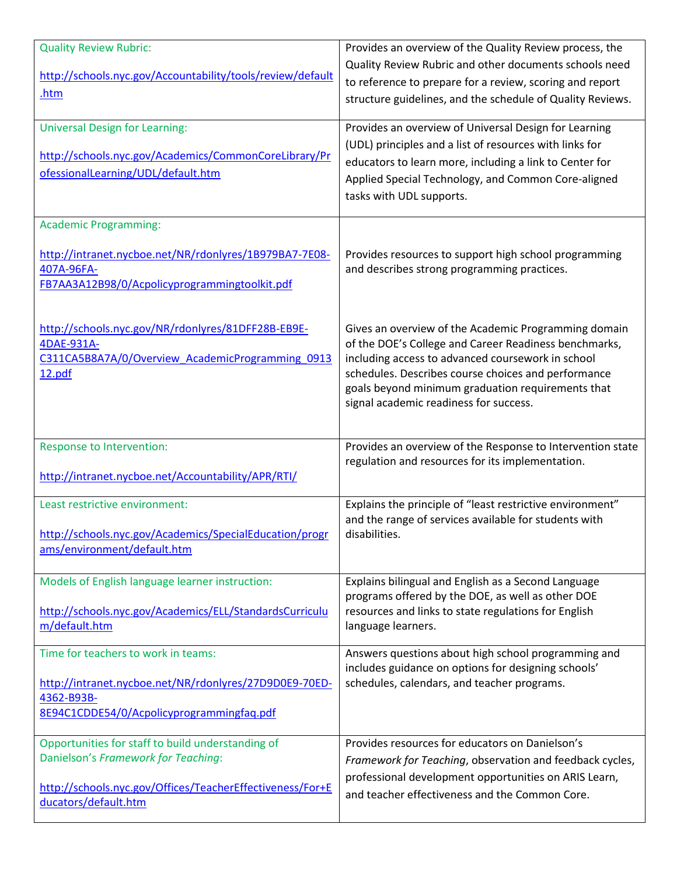| <b>Quality Review Rubric:</b><br>http://schools.nyc.gov/Accountability/tools/review/default<br>.htm                                                                           | Provides an overview of the Quality Review process, the<br>Quality Review Rubric and other documents schools need<br>to reference to prepare for a review, scoring and report<br>structure guidelines, and the schedule of Quality Reviews.                                                                              |
|-------------------------------------------------------------------------------------------------------------------------------------------------------------------------------|--------------------------------------------------------------------------------------------------------------------------------------------------------------------------------------------------------------------------------------------------------------------------------------------------------------------------|
| <b>Universal Design for Learning:</b><br>http://schools.nyc.gov/Academics/CommonCoreLibrary/Pr<br>ofessionalLearning/UDL/default.htm                                          | Provides an overview of Universal Design for Learning<br>(UDL) principles and a list of resources with links for<br>educators to learn more, including a link to Center for<br>Applied Special Technology, and Common Core-aligned<br>tasks with UDL supports.                                                           |
| <b>Academic Programming:</b><br>http://intranet.nycboe.net/NR/rdonlyres/1B979BA7-7E08-<br>407A-96FA-<br>FB7AA3A12B98/0/Acpolicyprogrammingtoolkit.pdf                         | Provides resources to support high school programming<br>and describes strong programming practices.                                                                                                                                                                                                                     |
| http://schools.nyc.gov/NR/rdonlyres/81DFF28B-EB9E-<br>4DAE-931A-<br>C311CA5B8A7A/0/Overview AcademicProgramming 0913<br>12.pdf                                                | Gives an overview of the Academic Programming domain<br>of the DOE's College and Career Readiness benchmarks,<br>including access to advanced coursework in school<br>schedules. Describes course choices and performance<br>goals beyond minimum graduation requirements that<br>signal academic readiness for success. |
| Response to Intervention:<br>http://intranet.nycboe.net/Accountability/APR/RTI/                                                                                               | Provides an overview of the Response to Intervention state<br>regulation and resources for its implementation.                                                                                                                                                                                                           |
| Least restrictive environment:<br>http://schools.nyc.gov/Academics/SpecialEducation/progr<br>ams/environment/default.htm                                                      | Explains the principle of "least restrictive environment"<br>and the range of services available for students with<br>disabilities.                                                                                                                                                                                      |
| Models of English language learner instruction:<br>http://schools.nyc.gov/Academics/ELL/StandardsCurriculu<br>m/default.htm                                                   | Explains bilingual and English as a Second Language<br>programs offered by the DOE, as well as other DOE<br>resources and links to state regulations for English<br>language learners.                                                                                                                                   |
| Time for teachers to work in teams:<br>http://intranet.nycboe.net/NR/rdonlyres/27D9D0E9-70ED-<br>4362-B93B-<br>8E94C1CDDE54/0/Acpolicyprogrammingfaq.pdf                      | Answers questions about high school programming and<br>includes guidance on options for designing schools'<br>schedules, calendars, and teacher programs.                                                                                                                                                                |
| Opportunities for staff to build understanding of<br>Danielson's Framework for Teaching:<br>http://schools.nyc.gov/Offices/TeacherEffectiveness/For+E<br>ducators/default.htm | Provides resources for educators on Danielson's<br>Framework for Teaching, observation and feedback cycles,<br>professional development opportunities on ARIS Learn,<br>and teacher effectiveness and the Common Core.                                                                                                   |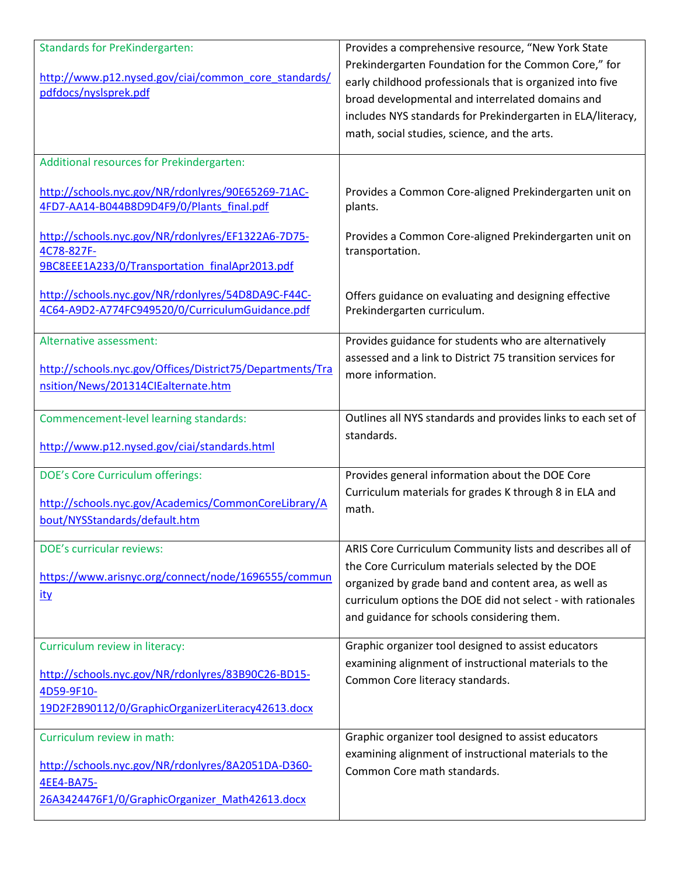| <b>Standards for PreKindergarten:</b><br>http://www.p12.nysed.gov/ciai/common_core_standards/<br>pdfdocs/nyslsprek.pdf                           | Provides a comprehensive resource, "New York State<br>Prekindergarten Foundation for the Common Core," for<br>early childhood professionals that is organized into five<br>broad developmental and interrelated domains and<br>includes NYS standards for Prekindergarten in ELA/literacy,<br>math, social studies, science, and the arts. |
|--------------------------------------------------------------------------------------------------------------------------------------------------|--------------------------------------------------------------------------------------------------------------------------------------------------------------------------------------------------------------------------------------------------------------------------------------------------------------------------------------------|
| Additional resources for Prekindergarten:                                                                                                        |                                                                                                                                                                                                                                                                                                                                            |
| http://schools.nyc.gov/NR/rdonlyres/90E65269-71AC-<br>4FD7-AA14-B044B8D9D4F9/0/Plants final.pdf                                                  | Provides a Common Core-aligned Prekindergarten unit on<br>plants.                                                                                                                                                                                                                                                                          |
| http://schools.nyc.gov/NR/rdonlyres/EF1322A6-7D75-<br>4C78-827F-<br>9BC8EEE1A233/0/Transportation finalApr2013.pdf                               | Provides a Common Core-aligned Prekindergarten unit on<br>transportation.                                                                                                                                                                                                                                                                  |
| http://schools.nyc.gov/NR/rdonlyres/54D8DA9C-F44C-<br>4C64-A9D2-A774FC949520/0/CurriculumGuidance.pdf                                            | Offers guidance on evaluating and designing effective<br>Prekindergarten curriculum.                                                                                                                                                                                                                                                       |
| Alternative assessment:<br>http://schools.nyc.gov/Offices/District75/Departments/Tra<br>nsition/News/201314ClEalternate.htm                      | Provides guidance for students who are alternatively<br>assessed and a link to District 75 transition services for<br>more information.                                                                                                                                                                                                    |
| Commencement-level learning standards:<br>http://www.p12.nysed.gov/ciai/standards.html                                                           | Outlines all NYS standards and provides links to each set of<br>standards.                                                                                                                                                                                                                                                                 |
| <b>DOE's Core Curriculum offerings:</b>                                                                                                          | Provides general information about the DOE Core                                                                                                                                                                                                                                                                                            |
| http://schools.nyc.gov/Academics/CommonCoreLibrary/A<br>bout/NYSStandards/default.htm                                                            | Curriculum materials for grades K through 8 in ELA and<br>math.                                                                                                                                                                                                                                                                            |
| <b>DOE's curricular reviews:</b>                                                                                                                 | ARIS Core Curriculum Community lists and describes all of                                                                                                                                                                                                                                                                                  |
| https://www.arisnyc.org/connect/node/1696555/commun<br><u>ity</u>                                                                                | the Core Curriculum materials selected by the DOE<br>organized by grade band and content area, as well as<br>curriculum options the DOE did not select - with rationales<br>and guidance for schools considering them.                                                                                                                     |
| Curriculum review in literacy:                                                                                                                   | Graphic organizer tool designed to assist educators                                                                                                                                                                                                                                                                                        |
| http://schools.nyc.gov/NR/rdonlyres/83B90C26-BD15-<br>4D59-9F10-<br>19D2F2B90112/0/GraphicOrganizerLiteracy42613.docx                            | examining alignment of instructional materials to the<br>Common Core literacy standards.                                                                                                                                                                                                                                                   |
|                                                                                                                                                  |                                                                                                                                                                                                                                                                                                                                            |
| Curriculum review in math:<br>http://schools.nyc.gov/NR/rdonlyres/8A2051DA-D360-<br>4EE4-BA75-<br>26A3424476F1/0/GraphicOrganizer Math42613.docx | Graphic organizer tool designed to assist educators<br>examining alignment of instructional materials to the<br>Common Core math standards.                                                                                                                                                                                                |